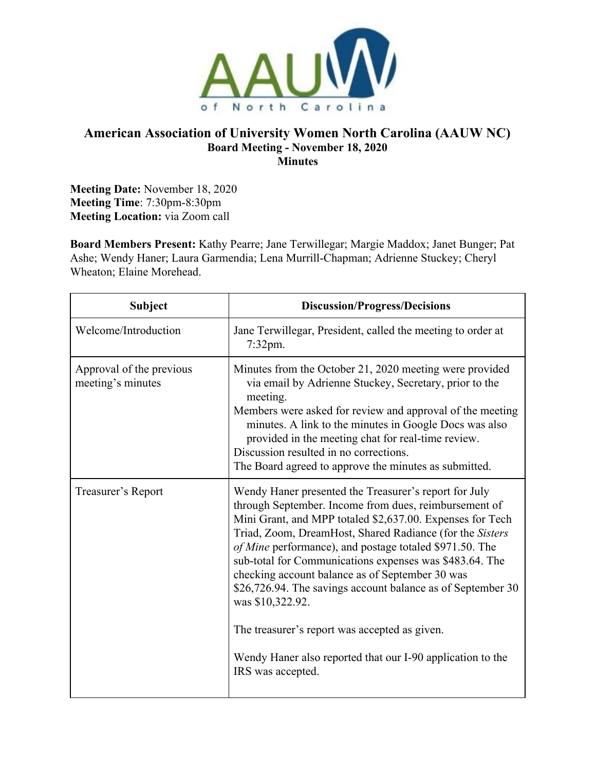

## **American Association of University Women North Carolina (AAUW NC) Board Meeting - November 18, 2020 Minutes**

**Meeting Date:** November 18, 2020 **Meeting Time**: 7:30pm-8:30pm **Meeting Location:** via Zoom call

**Board Members Present:** Kathy Pearre; Jane Terwillegar; Margie Maddox; Janet Bunger; Pat Ashe; Wendy Haner; Laura Garmendia; Lena Murrill-Chapman; Adrienne Stuckey; Cheryl Wheaton; Elaine Morehead.

| <b>Subject</b>                                | <b>Discussion/Progress/Decisions</b>                                                                                                                                                                                                                                                                                                                                                                                                                                                                                                                                                                                                    |
|-----------------------------------------------|-----------------------------------------------------------------------------------------------------------------------------------------------------------------------------------------------------------------------------------------------------------------------------------------------------------------------------------------------------------------------------------------------------------------------------------------------------------------------------------------------------------------------------------------------------------------------------------------------------------------------------------------|
| Welcome/Introduction                          | Jane Terwillegar, President, called the meeting to order at<br>7:32pm.                                                                                                                                                                                                                                                                                                                                                                                                                                                                                                                                                                  |
| Approval of the previous<br>meeting's minutes | Minutes from the October 21, 2020 meeting were provided<br>via email by Adrienne Stuckey, Secretary, prior to the<br>meeting.<br>Members were asked for review and approval of the meeting<br>minutes. A link to the minutes in Google Docs was also<br>provided in the meeting chat for real-time review.<br>Discussion resulted in no corrections.<br>The Board agreed to approve the minutes as submitted.                                                                                                                                                                                                                           |
| Treasurer's Report                            | Wendy Haner presented the Treasurer's report for July<br>through September. Income from dues, reimbursement of<br>Mini Grant, and MPP totaled \$2,637.00. Expenses for Tech<br>Triad, Zoom, DreamHost, Shared Radiance (for the Sisters<br>of Mine performance), and postage totaled \$971.50. The<br>sub-total for Communications expenses was \$483.64. The<br>checking account balance as of September 30 was<br>\$26,726.94. The savings account balance as of September 30<br>was \$10,322.92.<br>The treasurer's report was accepted as given.<br>Wendy Haner also reported that our I-90 application to the<br>IRS was accepted. |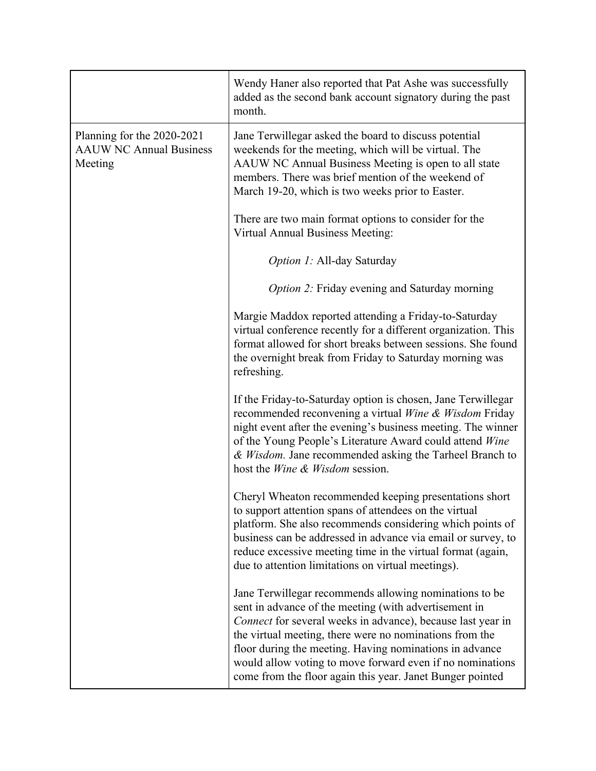|                                                                         | Wendy Haner also reported that Pat Ashe was successfully<br>added as the second bank account signatory during the past<br>month.                                                                                                                                                                                                                                                                                               |
|-------------------------------------------------------------------------|--------------------------------------------------------------------------------------------------------------------------------------------------------------------------------------------------------------------------------------------------------------------------------------------------------------------------------------------------------------------------------------------------------------------------------|
| Planning for the 2020-2021<br><b>AAUW NC Annual Business</b><br>Meeting | Jane Terwillegar asked the board to discuss potential<br>weekends for the meeting, which will be virtual. The<br>AAUW NC Annual Business Meeting is open to all state<br>members. There was brief mention of the weekend of<br>March 19-20, which is two weeks prior to Easter.                                                                                                                                                |
|                                                                         | There are two main format options to consider for the<br><b>Virtual Annual Business Meeting:</b>                                                                                                                                                                                                                                                                                                                               |
|                                                                         | <i>Option 1:</i> All-day Saturday                                                                                                                                                                                                                                                                                                                                                                                              |
|                                                                         | <i>Option 2:</i> Friday evening and Saturday morning                                                                                                                                                                                                                                                                                                                                                                           |
|                                                                         | Margie Maddox reported attending a Friday-to-Saturday<br>virtual conference recently for a different organization. This<br>format allowed for short breaks between sessions. She found<br>the overnight break from Friday to Saturday morning was<br>refreshing.                                                                                                                                                               |
|                                                                         | If the Friday-to-Saturday option is chosen, Jane Terwillegar<br>recommended reconvening a virtual Wine & Wisdom Friday<br>night event after the evening's business meeting. The winner<br>of the Young People's Literature Award could attend Wine<br>& Wisdom. Jane recommended asking the Tarheel Branch to<br>host the <i>Wine &amp; Wisdom</i> session.                                                                    |
|                                                                         | Cheryl Wheaton recommended keeping presentations short<br>to support attention spans of attendees on the virtual<br>platform. She also recommends considering which points of<br>business can be addressed in advance via email or survey, to<br>reduce excessive meeting time in the virtual format (again,<br>due to attention limitations on virtual meetings).                                                             |
|                                                                         | Jane Terwillegar recommends allowing nominations to be<br>sent in advance of the meeting (with advertisement in<br>Connect for several weeks in advance), because last year in<br>the virtual meeting, there were no nominations from the<br>floor during the meeting. Having nominations in advance<br>would allow voting to move forward even if no nominations<br>come from the floor again this year. Janet Bunger pointed |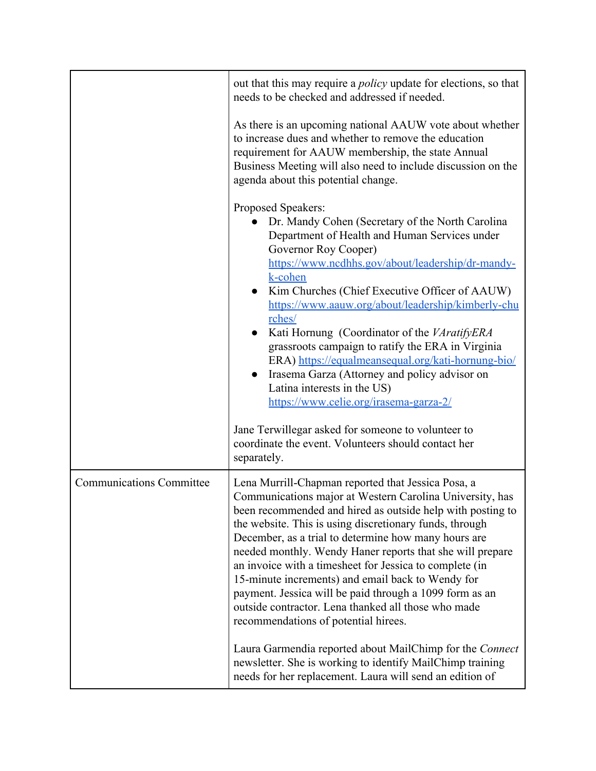|                                 | out that this may require a <i>policy</i> update for elections, so that<br>needs to be checked and addressed if needed.<br>As there is an upcoming national AAUW vote about whether<br>to increase dues and whether to remove the education<br>requirement for AAUW membership, the state Annual<br>Business Meeting will also need to include discussion on the<br>agenda about this potential change.<br>Proposed Speakers:<br>Dr. Mandy Cohen (Secretary of the North Carolina<br>Department of Health and Human Services under<br>Governor Roy Cooper)<br>https://www.ncdhhs.gov/about/leadership/dr-mandy-<br>k-cohen<br>Kim Churches (Chief Executive Officer of AAUW)<br>https://www.aauw.org/about/leadership/kimberly-chu<br>rches/<br>Kati Hornung (Coordinator of the VAratifyERA<br>grassroots campaign to ratify the ERA in Virginia<br>ERA) https://equalmeansequal.org/kati-hornung-bio/<br>Irasema Garza (Attorney and policy advisor on<br>$\bullet$ |
|---------------------------------|-----------------------------------------------------------------------------------------------------------------------------------------------------------------------------------------------------------------------------------------------------------------------------------------------------------------------------------------------------------------------------------------------------------------------------------------------------------------------------------------------------------------------------------------------------------------------------------------------------------------------------------------------------------------------------------------------------------------------------------------------------------------------------------------------------------------------------------------------------------------------------------------------------------------------------------------------------------------------|
|                                 | Latina interests in the US)<br>https://www.celie.org/irasema-garza-2/<br>Jane Terwillegar asked for someone to volunteer to<br>coordinate the event. Volunteers should contact her<br>separately.                                                                                                                                                                                                                                                                                                                                                                                                                                                                                                                                                                                                                                                                                                                                                                     |
| <b>Communications Committee</b> | Lena Murrill-Chapman reported that Jessica Posa, a<br>Communications major at Western Carolina University, has<br>been recommended and hired as outside help with posting to<br>the website. This is using discretionary funds, through<br>December, as a trial to determine how many hours are<br>needed monthly. Wendy Haner reports that she will prepare<br>an invoice with a timesheet for Jessica to complete (in<br>15-minute increments) and email back to Wendy for<br>payment. Jessica will be paid through a 1099 form as an<br>outside contractor. Lena thanked all those who made<br>recommendations of potential hirees.                                                                                                                                                                                                                                                                                                                                |
|                                 | Laura Garmendia reported about MailChimp for the Connect<br>newsletter. She is working to identify MailChimp training<br>needs for her replacement. Laura will send an edition of                                                                                                                                                                                                                                                                                                                                                                                                                                                                                                                                                                                                                                                                                                                                                                                     |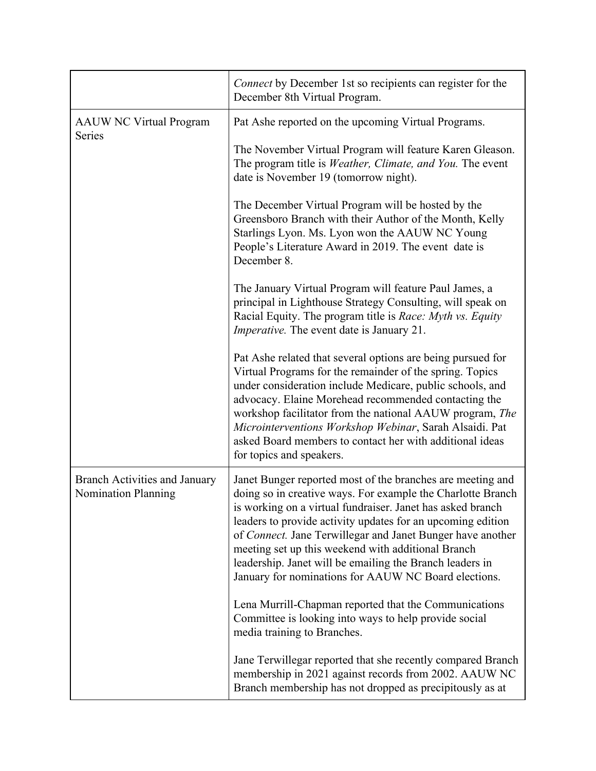|                                                                    | Connect by December 1st so recipients can register for the<br>December 8th Virtual Program.                                                                                                                                                                                                                                                                                                                                                                                                    |
|--------------------------------------------------------------------|------------------------------------------------------------------------------------------------------------------------------------------------------------------------------------------------------------------------------------------------------------------------------------------------------------------------------------------------------------------------------------------------------------------------------------------------------------------------------------------------|
| <b>AAUW NC Virtual Program</b><br>Series                           | Pat Ashe reported on the upcoming Virtual Programs.                                                                                                                                                                                                                                                                                                                                                                                                                                            |
|                                                                    | The November Virtual Program will feature Karen Gleason.<br>The program title is <i>Weather, Climate, and You</i> . The event<br>date is November 19 (tomorrow night).                                                                                                                                                                                                                                                                                                                         |
|                                                                    | The December Virtual Program will be hosted by the<br>Greensboro Branch with their Author of the Month, Kelly<br>Starlings Lyon. Ms. Lyon won the AAUW NC Young<br>People's Literature Award in 2019. The event date is<br>December 8.                                                                                                                                                                                                                                                         |
|                                                                    | The January Virtual Program will feature Paul James, a<br>principal in Lighthouse Strategy Consulting, will speak on<br>Racial Equity. The program title is <i>Race: Myth vs. Equity</i><br><i>Imperative.</i> The event date is January 21.                                                                                                                                                                                                                                                   |
|                                                                    | Pat Ashe related that several options are being pursued for<br>Virtual Programs for the remainder of the spring. Topics<br>under consideration include Medicare, public schools, and<br>advocacy. Elaine Morehead recommended contacting the<br>workshop facilitator from the national AAUW program, The<br>Microinterventions Workshop Webinar, Sarah Alsaidi. Pat<br>asked Board members to contact her with additional ideas<br>for topics and speakers.                                    |
| <b>Branch Activities and January</b><br><b>Nomination Planning</b> | Janet Bunger reported most of the branches are meeting and<br>doing so in creative ways. For example the Charlotte Branch<br>is working on a virtual fundraiser. Janet has asked branch<br>leaders to provide activity updates for an upcoming edition<br>of Connect. Jane Terwillegar and Janet Bunger have another<br>meeting set up this weekend with additional Branch<br>leadership. Janet will be emailing the Branch leaders in<br>January for nominations for AAUW NC Board elections. |
|                                                                    | Lena Murrill-Chapman reported that the Communications<br>Committee is looking into ways to help provide social<br>media training to Branches.                                                                                                                                                                                                                                                                                                                                                  |
|                                                                    | Jane Terwillegar reported that she recently compared Branch<br>membership in 2021 against records from 2002. AAUW NC<br>Branch membership has not dropped as precipitously as at                                                                                                                                                                                                                                                                                                               |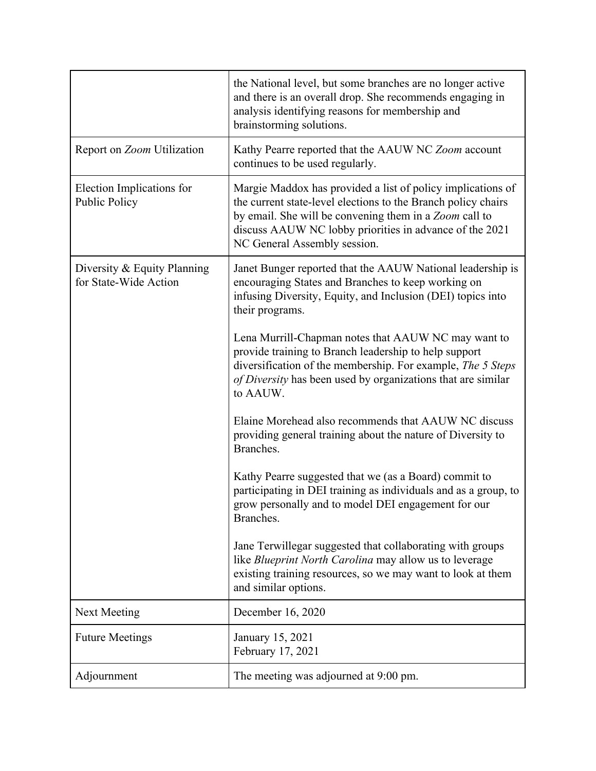|                                                      | the National level, but some branches are no longer active<br>and there is an overall drop. She recommends engaging in<br>analysis identifying reasons for membership and<br>brainstorming solutions.                                                                             |
|------------------------------------------------------|-----------------------------------------------------------------------------------------------------------------------------------------------------------------------------------------------------------------------------------------------------------------------------------|
| Report on Zoom Utilization                           | Kathy Pearre reported that the AAUW NC Zoom account<br>continues to be used regularly.                                                                                                                                                                                            |
| Election Implications for<br><b>Public Policy</b>    | Margie Maddox has provided a list of policy implications of<br>the current state-level elections to the Branch policy chairs<br>by email. She will be convening them in a Zoom call to<br>discuss AAUW NC lobby priorities in advance of the 2021<br>NC General Assembly session. |
| Diversity & Equity Planning<br>for State-Wide Action | Janet Bunger reported that the AAUW National leadership is<br>encouraging States and Branches to keep working on<br>infusing Diversity, Equity, and Inclusion (DEI) topics into<br>their programs.                                                                                |
|                                                      | Lena Murrill-Chapman notes that AAUW NC may want to<br>provide training to Branch leadership to help support<br>diversification of the membership. For example, The 5 Steps<br>of Diversity has been used by organizations that are similar<br>to AAUW.                           |
|                                                      | Elaine Morehead also recommends that AAUW NC discuss<br>providing general training about the nature of Diversity to<br>Branches.                                                                                                                                                  |
|                                                      | Kathy Pearre suggested that we (as a Board) commit to<br>participating in DEI training as individuals and as a group, to<br>grow personally and to model DEI engagement for our<br>Branches.                                                                                      |
|                                                      | Jane Terwillegar suggested that collaborating with groups<br>like <i>Blueprint North Carolina</i> may allow us to leverage<br>existing training resources, so we may want to look at them<br>and similar options.                                                                 |
| <b>Next Meeting</b>                                  | December 16, 2020                                                                                                                                                                                                                                                                 |
| <b>Future Meetings</b>                               | January 15, 2021<br>February 17, 2021                                                                                                                                                                                                                                             |
| Adjournment                                          | The meeting was adjourned at 9:00 pm.                                                                                                                                                                                                                                             |